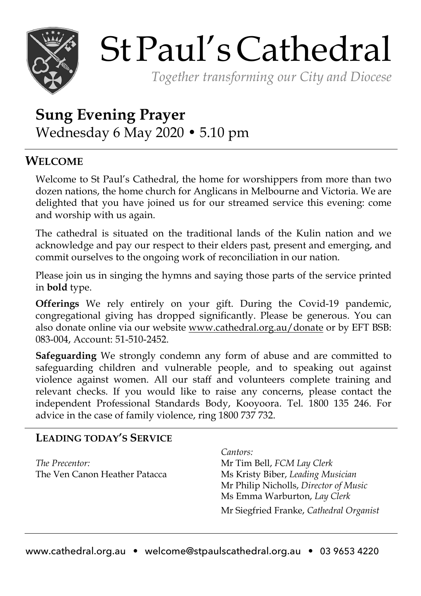

# StPaul'sCathedral

*Together transforming our City and Diocese*

# **Sung Evening Prayer** Wednesday 6 May 2020 • 5.10 pm

## **WELCOME**

Welcome to St Paul's Cathedral, the home for worshippers from more than two dozen nations, the home church for Anglicans in Melbourne and Victoria. We are delighted that you have joined us for our streamed service this evening: come and worship with us again.

The cathedral is situated on the traditional lands of the Kulin nation and we acknowledge and pay our respect to their elders past, present and emerging, and commit ourselves to the ongoing work of reconciliation in our nation.

Please join us in singing the hymns and saying those parts of the service printed in **bold** type.

**Offerings** We rely entirely on your gift. During the Covid-19 pandemic, congregational giving has dropped significantly. Please be generous. You can also donate online via our website www.cathedral.org.au/donate or by EFT BSB: 083-004, Account: 51-510-2452.

**Safeguarding** We strongly condemn any form of abuse and are committed to safeguarding children and vulnerable people, and to speaking out against violence against women. All our staff and volunteers complete training and relevant checks. If you would like to raise any concerns, please contact the independent Professional Standards Body, Kooyoora. Tel. 1800 135 246. For advice in the case of family violence, ring 1800 737 732.

### **LEADING TODAY'S SERVICE**

*The Precentor:* The Ven Canon Heather Patacca *Cantors:* 

Mr Tim Bell, *FCM Lay Clerk* Ms Kristy Biber, *Leading Musician* Mr Philip Nicholls, *Director of Music* Ms Emma Warburton, *Lay Clerk* Mr Siegfried Franke, *Cathedral Organist*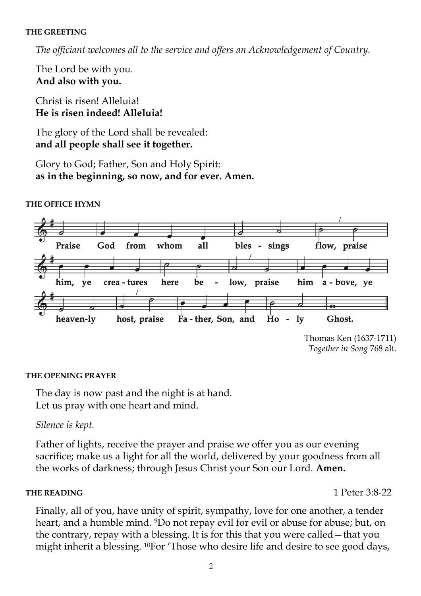#### **THE GREETING**

*The officiant welcomes all to the service and offers an Acknowledgement of Country.*

The Lord be with you. **And also with you.** 

Christ is risen! Alleluia! **He is risen indeed! Alleluia!**

The glory of the Lord shall be revealed: **and all people shall see it together.**

Glory to God; Father, Son and Holy Spirit: **as in the beginning, so now, and for ever. Amen.**



#### **THE OFFICE HYMN**

Thomas Ken (1637-1711) *Together in Song* 768 alt.

#### **THE OPENING PRAYER**

The day is now past and the night is at hand. Let us pray with one heart and mind.

#### *Silence is kept.*

Father of lights, receive the prayer and praise we offer you as our evening sacrifice; make us a light for all the world, delivered by your goodness from all the works of darkness; through Jesus Christ your Son our Lord. **Amen.**

#### **THE READING** 1 Peter 3:8-22

Finally, all of you, have unity of spirit, sympathy, love for one another, a tender heart, and a humble mind. <sup>9</sup>Do not repay evil for evil or abuse for abuse; but, on the contrary, repay with a blessing. It is for this that you were called—that you might inherit a blessing. 10For 'Those who desire life and desire to see good days,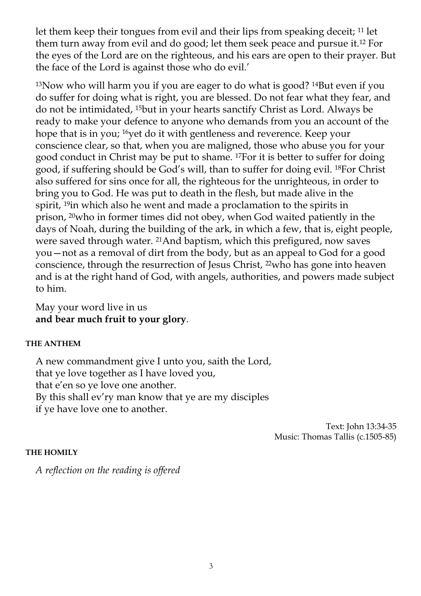let them keep their tongues from evil and their lips from speaking deceit; 11 let them turn away from evil and do good; let them seek peace and pursue it.12 For the eyes of the Lord are on the righteous, and his ears are open to their prayer. But the face of the Lord is against those who do evil.'

13Now who will harm you if you are eager to do what is good? 14But even if you do suffer for doing what is right, you are blessed. Do not fear what they fear, and do not be intimidated, 15but in your hearts sanctify Christ as Lord. Always be ready to make your defence to anyone who demands from you an account of the hope that is in you; <sup>16</sup>yet do it with gentleness and reverence. Keep your conscience clear, so that, when you are maligned, those who abuse you for your good conduct in Christ may be put to shame. 17For it is better to suffer for doing good, if suffering should be God's will, than to suffer for doing evil. 18For Christ also suffered for sins once for all, the righteous for the unrighteous, in order to bring you to God. He was put to death in the flesh, but made alive in the spirit, 19in which also he went and made a proclamation to the spirits in prison, 20who in former times did not obey, when God waited patiently in the days of Noah, during the building of the ark, in which a few, that is, eight people, were saved through water. 21And baptism, which this prefigured, now saves you—not as a removal of dirt from the body, but as an appeal to God for a good conscience, through the resurrection of Jesus Christ, 22who has gone into heaven and is at the right hand of God, with angels, authorities, and powers made subject to him.

May your word live in us **and bear much fruit to your glory**.

#### **THE ANTHEM**

A new commandment give I unto you, saith the Lord, that ye love together as I have loved you, that e'en so ye love one another. By this shall ev'ry man know that ye are my disciples if ye have love one to another.

> Text: John 13:34-35 Music: Thomas Tallis (c.1505-85)

#### **THE HOMILY**

*A reflection on the reading is offered*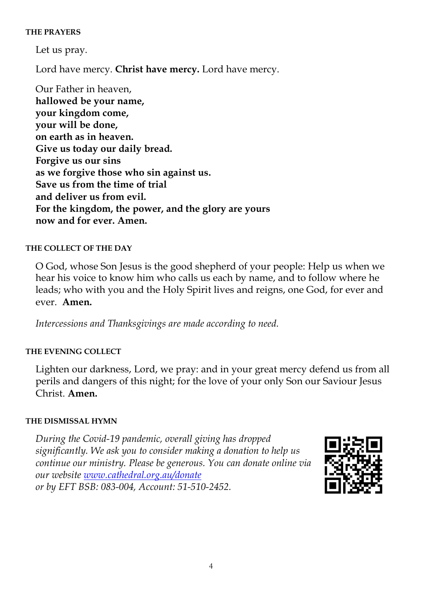#### **THE PRAYERS**

Let us pray.

Lord have mercy. **Christ have mercy.** Lord have mercy.

Our Father in heaven, **hallowed be your name, your kingdom come, your will be done, on earth as in heaven. Give us today our daily bread. Forgive us our sins as we forgive those who sin against us. Save us from the time of trial and deliver us from evil. For the kingdom, the power, and the glory are yours now and for ever. Amen.** 

#### **THE COLLECT OF THE DAY**

O God, whose Son Jesus is the good shepherd of your people: Help us when we hear his voice to know him who calls us each by name, and to follow where he leads; who with you and the Holy Spirit lives and reigns, one God, for ever and ever. **Amen.**

*Intercessions and Thanksgivings are made according to need.*

#### **THE EVENING COLLECT**

Lighten our darkness, Lord, we pray: and in your great mercy defend us from all perils and dangers of this night; for the love of your only Son our Saviour Jesus Christ. **Amen.**

#### **THE DISMISSAL HYMN**

*During the Covid-19 pandemic, overall giving has dropped significantly. We ask you to consider making a donation to help us continue our ministry. Please be generous. You can donate online via our website www.cathedral.org.au/donate or by EFT BSB: 083-004, Account: 51-510-2452.* 

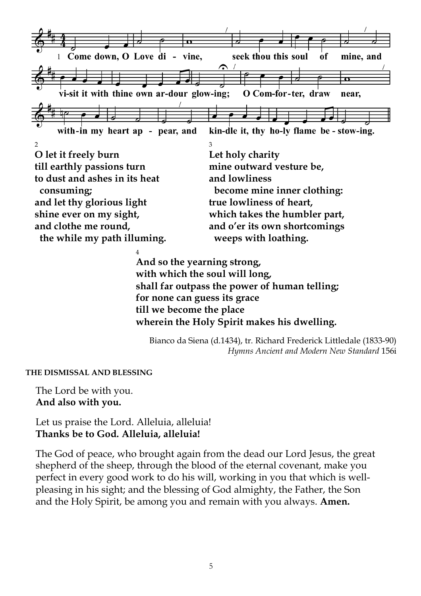

**till we become the place wherein the Holy Spirit makes his dwelling.**

Bianco da Siena (d.1434), tr. Richard Frederick Littledale (1833-90) *Hymns Ancient and Modern New Standard* 156i

**THE DISMISSAL AND BLESSING**

The Lord be with you. **And also with you.**

Let us praise the Lord. Alleluia, alleluia! **Thanks be to God. Alleluia, alleluia!**

The God of peace, who brought again from the dead our Lord Jesus, the great shepherd of the sheep, through the blood of the eternal covenant, make you perfect in every good work to do his will, working in you that which is wellpleasing in his sight; and the blessing of God almighty, the Father, the Son and the Holy Spirit, be among you and remain with you always. **Amen.**